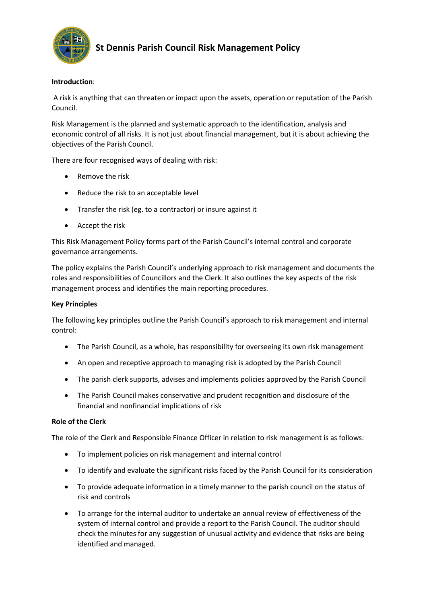

# **St Dennis Parish Council Risk Management Policy**

## **Introduction**:

A risk is anything that can threaten or impact upon the assets, operation or reputation of the Parish Council.

Risk Management is the planned and systematic approach to the identification, analysis and economic control of all risks. It is not just about financial management, but it is about achieving the objectives of the Parish Council.

There are four recognised ways of dealing with risk:

- Remove the risk
- Reduce the risk to an acceptable level
- Transfer the risk (eg. to a contractor) or insure against it
- Accept the risk

This Risk Management Policy forms part of the Parish Council's internal control and corporate governance arrangements.

The policy explains the Parish Council's underlying approach to risk management and documents the roles and responsibilities of Councillors and the Clerk. It also outlines the key aspects of the risk management process and identifies the main reporting procedures.

### **Key Principles**

The following key principles outline the Parish Council's approach to risk management and internal control:

- The Parish Council, as a whole, has responsibility for overseeing its own risk management
- An open and receptive approach to managing risk is adopted by the Parish Council
- The parish clerk supports, advises and implements policies approved by the Parish Council
- The Parish Council makes conservative and prudent recognition and disclosure of the financial and nonfinancial implications of risk

### **Role of the Clerk**

The role of the Clerk and Responsible Finance Officer in relation to risk management is as follows:

- To implement policies on risk management and internal control
- To identify and evaluate the significant risks faced by the Parish Council for its consideration
- To provide adequate information in a timely manner to the parish council on the status of risk and controls
- To arrange for the internal auditor to undertake an annual review of effectiveness of the system of internal control and provide a report to the Parish Council. The auditor should check the minutes for any suggestion of unusual activity and evidence that risks are being identified and managed.